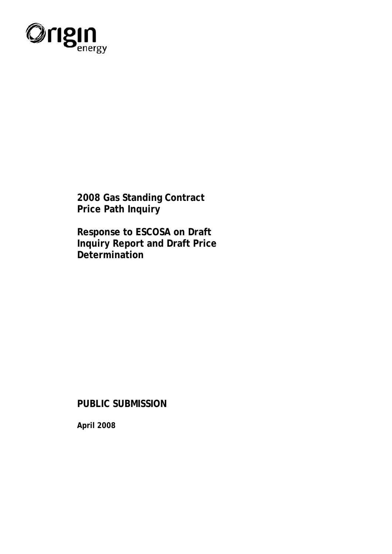

**2008 Gas Standing Contract Price Path Inquiry** 

**Response to ESCOSA on Draft Inquiry Report and Draft Price Determination** 

**PUBLIC SUBMISSION** 

**April 2008**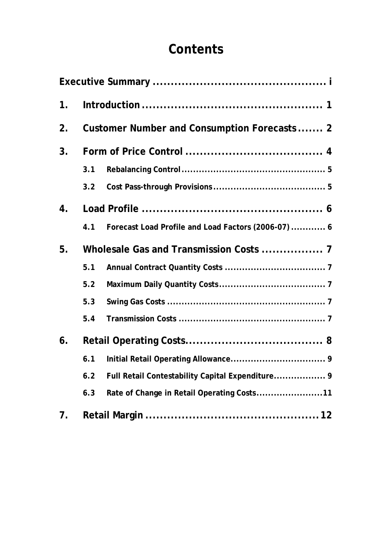# **Contents**

| 1 <sub>1</sub> |                                             |                                                     |  |  |  |  |
|----------------|---------------------------------------------|-----------------------------------------------------|--|--|--|--|
| 2 <sub>1</sub> | Customer Number and Consumption Forecasts 2 |                                                     |  |  |  |  |
| 3 <sub>1</sub> |                                             |                                                     |  |  |  |  |
|                | 3.1                                         |                                                     |  |  |  |  |
|                | 3.2                                         |                                                     |  |  |  |  |
| 4.             |                                             |                                                     |  |  |  |  |
|                | 4.1                                         | Forecast Load Profile and Load Factors (2006-07)  6 |  |  |  |  |
| 5.             |                                             |                                                     |  |  |  |  |
|                | 5.1                                         |                                                     |  |  |  |  |
|                | 5.2                                         |                                                     |  |  |  |  |
|                | 5.3                                         |                                                     |  |  |  |  |
|                | 5.4                                         |                                                     |  |  |  |  |
| 6.             |                                             |                                                     |  |  |  |  |
|                | 6.1                                         |                                                     |  |  |  |  |
|                | 6.2                                         | Full Retail Contestability Capital Expenditure 9    |  |  |  |  |
|                | 6.3                                         | Rate of Change in Retail Operating Costs11          |  |  |  |  |
| 7.             |                                             |                                                     |  |  |  |  |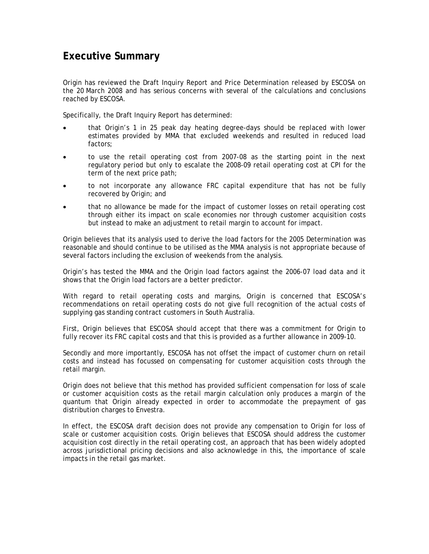### <span id="page-2-0"></span>**Executive Summary**

Origin has reviewed the Draft Inquiry Report and Price Determination released by ESCOSA on the 20 March 2008 and has serious concerns with several of the calculations and conclusions reached by ESCOSA.

Specifically, the Draft Inquiry Report has determined:

- that Origin's 1 in 25 peak day heating degree-days should be replaced with lower estimates provided by MMA that excluded weekends and resulted in reduced load factors;
- to use the retail operating cost from 2007-08 as the starting point in the next regulatory period but only to escalate the 2008-09 retail operating cost at CPI for the term of the next price path;
- to not incorporate any allowance FRC capital expenditure that has not be fully recovered by Origin; and
- that no allowance be made for the impact of customer losses on retail operating cost through either its impact on scale economies nor through customer acquisition costs but instead to make an adjustment to retail margin to account for impact.

Origin believes that its analysis used to derive the load factors for the 2005 Determination was reasonable and should continue to be utilised as the MMA analysis is not appropriate because of several factors including the exclusion of weekends from the analysis.

Origin's has tested the MMA and the Origin load factors against the 2006-07 load data and it shows that the Origin load factors are a better predictor.

With regard to retail operating costs and margins, Origin is concerned that ESCOSA's recommendations on retail operating costs do not give full recognition of the actual costs of supplying gas standing contract customers in South Australia.

First, Origin believes that ESCOSA should accept that there was a commitment for Origin to fully recover its FRC capital costs and that this is provided as a further allowance in 2009-10.

Secondly and more importantly, ESCOSA has not offset the impact of customer churn on retail costs and instead has focussed on compensating for customer acquisition costs through the retail margin.

Origin does not believe that this method has provided sufficient compensation for loss of scale or customer acquisition costs as the retail margin calculation only produces a margin of the quantum that Origin already expected in order to accommodate the prepayment of gas distribution charges to Envestra.

In effect, the ESCOSA draft decision does not provide any compensation to Origin for loss of scale or customer acquisition costs. Origin believes that ESCOSA should address the customer acquisition cost directly in the retail operating cost, an approach that has been widely adopted across jurisdictional pricing decisions and also acknowledge in this, the importance of scale impacts in the retail gas market.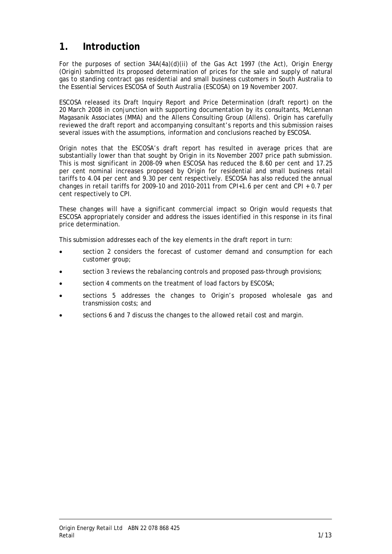### <span id="page-3-0"></span>**1. Introduction**

For the purposes of section 34A(4a)(d)(ii) of the Gas Act 1997 (the Act), Origin Energy (Origin) submitted its proposed determination of prices for the sale and supply of natural gas to standing contract gas residential and small business customers in South Australia to the Essential Services ESCOSA of South Australia (ESCOSA) on 19 November 2007.

ESCOSA released its Draft Inquiry Report and Price Determination (draft report) on the 20 March 2008 in conjunction with supporting documentation by its consultants, McLennan Magasanik Associates (MMA) and the Allens Consulting Group (Allens). Origin has carefully reviewed the draft report and accompanying consultant's reports and this submission raises several issues with the assumptions, information and conclusions reached by ESCOSA.

Origin notes that the ESCOSA's draft report has resulted in average prices that are substantially lower than that sought by Origin in its November 2007 price path submission. This is most significant in 2008-09 when ESCOSA has reduced the 8.60 per cent and 17.25 per cent nominal increases proposed by Origin for residential and small business retail tariffs to 4.04 per cent and 9.30 per cent respectively. ESCOSA has also reduced the annual changes in retail tariffs for 2009-10 and 2010-2011 from CPI+1.6 per cent and CPI + 0.7 per cent respectively to CPI.

These changes will have a significant commercial impact so Origin would requests that ESCOSA appropriately consider and address the issues identified in this response in its final price determination.

This submission addresses each of the key elements in the draft report in turn:

- section 2 considers the forecast of customer demand and consumption for each customer group;
- section 3 reviews the rebalancing controls and proposed pass-through provisions;
- section 4 comments on the treatment of load factors by ESCOSA;
- sections 5 addresses the changes to Origin's proposed wholesale gas and transmission costs; and
- sections 6 and 7 discuss the changes to the allowed retail cost and margin.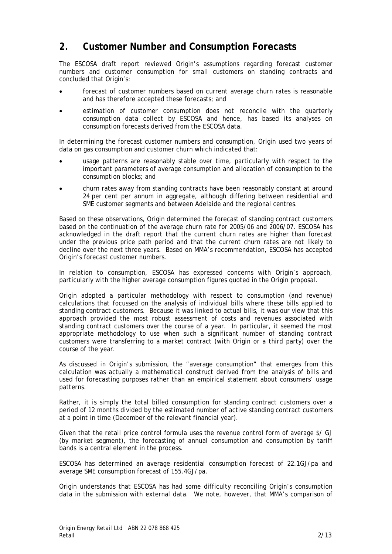### <span id="page-4-0"></span>**2. Customer Number and Consumption Forecasts**

The ESCOSA draft report reviewed Origin's assumptions regarding forecast customer numbers and customer consumption for small customers on standing contracts and concluded that Origin's:

- forecast of customer numbers based on current average churn rates is reasonable and has therefore accepted these forecasts; and
- estimation of customer consumption does not reconcile with the quarterly consumption data collect by ESCOSA and hence, has based its analyses on consumption forecasts derived from the ESCOSA data.

In determining the forecast customer numbers and consumption, Origin used two years of data on gas consumption and customer churn which indicated that:

- usage patterns are reasonably stable over time, particularly with respect to the important parameters of average consumption and allocation of consumption to the consumption blocks; and
- churn rates away from standing contracts have been reasonably constant at around 24 per cent per annum in aggregate, although differing between residential and SME customer segments and between Adelaide and the regional centres.

Based on these observations, Origin determined the forecast of standing contract customers based on the continuation of the average churn rate for 2005/06 and 2006/07. ESCOSA has acknowledged in the draft report that the current churn rates are higher than forecast under the previous price path period and that the current churn rates are not likely to decline over the next three years. Based on MMA's recommendation, ESCOSA has accepted Origin's forecast customer numbers.

In relation to consumption, ESCOSA has expressed concerns with Origin's approach, particularly with the higher average consumption figures quoted in the Origin proposal.

Origin adopted a particular methodology with respect to consumption (and revenue) calculations that focussed on the analysis of individual bills where these bills applied to standing contract customers. Because it was linked to actual bills, it was our view that this approach provided the most robust assessment of costs and revenues associated with standing contract customers over the course of a year. In particular, it seemed the most appropriate methodology to use when such a significant number of standing contract customers were transferring to a market contract (with Origin or a third party) over the course of the year.

As discussed in Origin's submission, the "average consumption" that emerges from this calculation was actually a mathematical construct derived from the analysis of bills and used for forecasting purposes rather than an empirical statement about consumers' usage patterns.

Rather, it is simply the total billed consumption for standing contract customers over a period of 12 months divided by the estimated number of active standing contract customers at a point in time (December of the relevant financial year).

Given that the retail price control formula uses the revenue control form of average \$/ GJ (by market segment), the forecasting of annual consumption and consumption by tariff bands is a central element in the process.

ESCOSA has determined an average residential consumption forecast of 22.1GJ/pa and average SME consumption forecast of 155.4GJ/pa.

Origin understands that ESCOSA has had some difficulty reconciling Origin's consumption data in the submission with external data. We note, however, that MMA's comparison of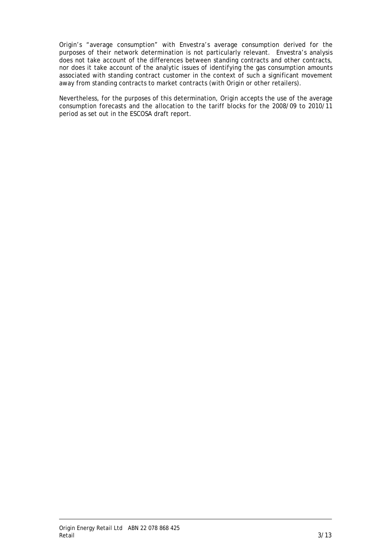Origin's "average consumption" with Envestra's average consumption derived for the purposes of their network determination is not particularly relevant. Envestra's analysis does not take account of the differences between standing contracts and other contracts, nor does it take account of the analytic issues of identifying the gas consumption amounts associated with standing contract customer in the context of such a significant movement away from standing contracts to market contracts (with Origin or other retailers).

Nevertheless, for the purposes of this determination, Origin accepts the use of the average consumption forecasts and the allocation to the tariff blocks for the 2008/09 to 2010/11 period as set out in the ESCOSA draft report.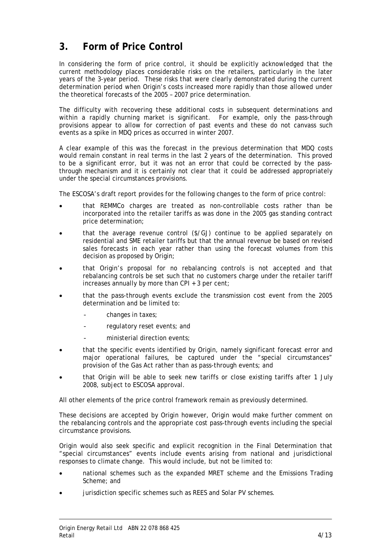# <span id="page-6-0"></span>**3. Form of Price Control**

In considering the form of price control, it should be explicitly acknowledged that the current methodology places considerable risks on the retailers, particularly in the later years of the 3-year period. These risks that were clearly demonstrated during the current determination period when Origin's costs increased more rapidly than those allowed under the theoretical forecasts of the 2005 – 2007 price determination.

The difficulty with recovering these additional costs in subsequent determinations and within a rapidly churning market is significant. For example, only the pass-through provisions appear to allow for correction of past events and these do not canvass such events as a spike in MDQ prices as occurred in winter 2007.

A clear example of this was the forecast in the previous determination that MDQ costs would remain constant in real terms in the last 2 years of the determination. This proved to be a significant error, but it was not an error that could be corrected by the passthrough mechanism and it is certainly not clear that it could be addressed appropriately under the special circumstances provisions.

The ESCOSA's draft report provides for the following changes to the form of price control:

- that REMMCo charges are treated as non-controllable costs rather than be incorporated into the retailer tariffs as was done in the 2005 gas standing contract price determination;
- that the average revenue control (\$/GJ) continue to be applied separately on residential and SME retailer tariffs but that the annual revenue be based on revised sales forecasts in each year rather than using the forecast volumes from this decision as proposed by Origin;
- that Origin's proposal for no rebalancing controls is not accepted and that rebalancing controls be set such that no customers charge under the retailer tariff increases annually by more than CPI + 3 per cent;
- that the pass-through events exclude the transmission cost event from the 2005 determination and be limited to:
	- changes in taxes;
	- regulatory reset events; and
	- ministerial direction events;
- that the specific events identified by Origin, namely significant forecast error and major operational failures, be captured under the "special circumstances" provision of the Gas Act rather than as pass-through events; and
- that Origin will be able to seek new tariffs or close existing tariffs after 1 July 2008, subject to ESCOSA approval.

All other elements of the price control framework remain as previously determined.

These decisions are accepted by Origin however, Origin would make further comment on the rebalancing controls and the appropriate cost pass-through events including the special circumstance provisions.

Origin would also seek specific and explicit recognition in the Final Determination that "special circumstances" events include events arising from national and jurisdictional responses to climate change. This would include, but not be limited to:

- national schemes such as the expanded MRET scheme and the Emissions Trading Scheme; and
- jurisdiction specific schemes such as REES and Solar PV schemes.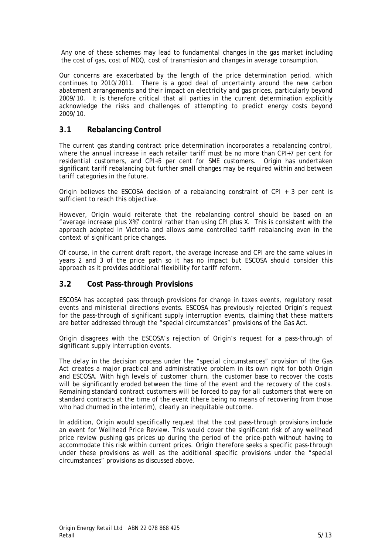<span id="page-7-0"></span>Any one of these schemes may lead to fundamental changes in the gas market including the cost of gas, cost of MDQ, cost of transmission and changes in average consumption.

Our concerns are exacerbated by the length of the price determination period, which continues to 2010/2011. There is a good deal of uncertainty around the new carbon abatement arrangements and their impact on electricity and gas prices, particularly beyond 2009/10. It is therefore critical that all parties in the current determination explicitly acknowledge the risks and challenges of attempting to predict energy costs beyond 2009/10.

#### **3.1 Rebalancing Control**

The current gas standing contract price determination incorporates a rebalancing control, where the annual increase in each retailer tariff must be no more than CPI+7 per cent for residential customers, and CPI+5 per cent for SME customers. Origin has undertaken significant tariff rebalancing but further small changes may be required within and between tariff categories in the future.

Origin believes the ESCOSA decision of a rebalancing constraint of CPI + 3 per cent is sufficient to reach this objective.

However, Origin would reiterate that the rebalancing control should be based on an "average increase plus X%" control rather than using CPI plus X. This is consistent with the approach adopted in Victoria and allows some controlled tariff rebalancing even in the context of significant price changes.

Of course, in the current draft report, the average increase and CPI are the same values in years 2 and 3 of the price path so it has no impact but ESCOSA should consider this approach as it provides additional flexibility for tariff reform.

#### **3.2 Cost Pass-through Provisions**

ESCOSA has accepted pass through provisions for change in taxes events, regulatory reset events and ministerial directions events. ESCOSA has previously rejected Origin's request for the pass-through of significant supply interruption events, claiming that these matters are better addressed through the "special circumstances" provisions of the Gas Act.

Origin disagrees with the ESCOSA's rejection of Origin's request for a pass-through of significant supply interruption events.

The delay in the decision process under the "special circumstances" provision of the Gas Act creates a major practical and administrative problem in its own right for both Origin and ESCOSA. With high levels of customer churn, the customer base to recover the costs will be significantly eroded between the time of the event and the recovery of the costs. Remaining standard contract customers will be forced to pay for all customers that were on standard contracts at the time of the event (there being no means of recovering from those who had churned in the interim), clearly an inequitable outcome.

In addition, Origin would specifically request that the cost pass-through provisions include an event for Wellhead Price Review. This would cover the significant risk of any wellhead price review pushing gas prices up during the period of the price-path without having to accommodate this risk within current prices. Origin therefore seeks a specific pass-through under these provisions as well as the additional specific provisions under the "special circumstances" provisions as discussed above.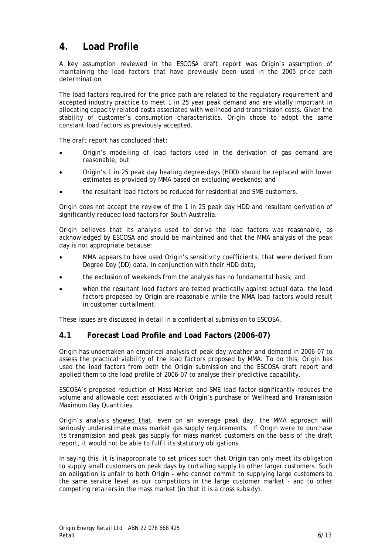## <span id="page-8-0"></span>**4. Load Profile**

A key assumption reviewed in the ESCOSA draft report was Origin's assumption of maintaining the load factors that have previously been used in the 2005 price path determination.

The load factors required for the price path are related to the regulatory requirement and accepted industry practice to meet 1 in 25 year peak demand and are vitally important in allocating capacity related costs associated with wellhead and transmission costs. Given the stability of customer's consumption characteristics, Origin chose to adopt the same constant load factors as previously accepted.

The draft report has concluded that:

- Origin's modelling of load factors used in the derivation of gas demand are reasonable; but
- Origin's 1 in 25 peak day heating degree-days (HDD) should be replaced with lower estimates as provided by MMA based on excluding weekends; and
- the resultant load factors be reduced for residential and SME customers.

Origin does not accept the review of the 1 in 25 peak day HDD and resultant derivation of significantly reduced load factors for South Australia.

Origin believes that its analysis used to derive the load factors was reasonable, as acknowledged by ESCOSA and should be maintained and that the MMA analysis of the peak day is not appropriate because:

- MMA appears to have used Origin's sensitivity coefficients, that were derived from Degree Day (DD) data, in conjunction with their HDD data;
- the exclusion of weekends from the analysis has no fundamental basis; and
- when the resultant load factors are tested practically against actual data, the load factors proposed by Origin are reasonable while the MMA load factors would result in customer curtailment.

These issues are discussed in detail in a confidential submission to ESCOSA.

#### **4.1 Forecast Load Profile and Load Factors (2006-07)**

Origin has undertaken an empirical analysis of peak day weather and demand in 2006-07 to assess the practical viability of the load factors proposed by MMA. To do this, Origin has used the load factors from both the Origin submission and the ESCOSA draft report and applied them to the load profile of 2006-07 to analyse their predictive capability.

ESCOSA's proposed reduction of Mass Market and SME load factor significantly reduces the volume and allowable cost associated with Origin's purchase of Wellhead and Transmission Maximum Day Quantities.

Origin's analysis showed that, even on an average peak day, the MMA approach will seriously underestimate mass market gas supply requirements. If Origin were to purchase its transmission and peak gas supply for mass market customers on the basis of the draft report, it would not be able to fulfil its statutory obligations.

In saying this, it is inappropriate to set prices such that Origin can only meet its obligation to supply small customers on peak days by curtailing supply to other larger customers. Such an obligation is unfair to both Origin – who cannot commit to supplying large customers to the same service level as our competitors in the large customer market - and to other competing retailers in the mass market (in that it is a cross subsidy).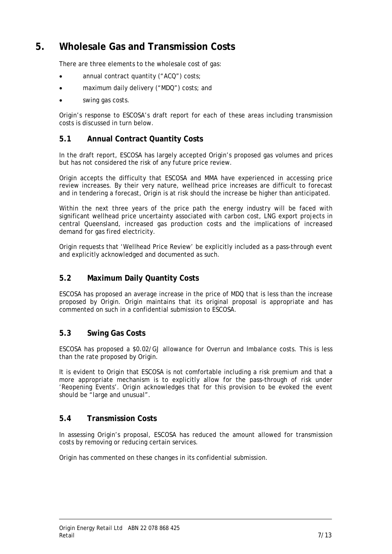### <span id="page-9-0"></span>**5. Wholesale Gas and Transmission Costs**

There are three elements to the wholesale cost of gas:

- annual contract quantity ("ACQ") costs;
- maximum daily delivery ("MDQ") costs; and
- swing gas costs.

Origin's response to ESCOSA's draft report for each of these areas including transmission costs is discussed in turn below.

#### **5.1 Annual Contract Quantity Costs**

In the draft report, ESCOSA has largely accepted Origin's proposed gas volumes and prices but has not considered the risk of any future price review.

Origin accepts the difficulty that ESCOSA and MMA have experienced in accessing price review increases. By their very nature, wellhead price increases are difficult to forecast and in tendering a forecast, Origin is at risk should the increase be higher than anticipated.

Within the next three years of the price path the energy industry will be faced with significant wellhead price uncertainty associated with carbon cost, LNG export projects in central Queensland, increased gas production costs and the implications of increased demand for gas fired electricity.

Origin requests that 'Wellhead Price Review' be explicitly included as a pass-through event and explicitly acknowledged and documented as such.

#### **5.2 Maximum Daily Quantity Costs**

ESCOSA has proposed an average increase in the price of MDQ that is less than the increase proposed by Origin. Origin maintains that its original proposal is appropriate and has commented on such in a confidential submission to ESCOSA.

#### **5.3 Swing Gas Costs**

ESCOSA has proposed a \$0.02/GJ allowance for Overrun and Imbalance costs. This is less than the rate proposed by Origin.

It is evident to Origin that ESCOSA is not comfortable including a risk premium and that a more appropriate mechanism is to explicitly allow for the pass-through of risk under 'Reopening Events'. Origin acknowledges that for this provision to be evoked the event should be "large and unusual".

#### **5.4 Transmission Costs**

In assessing Origin's proposal, ESCOSA has reduced the amount allowed for transmission costs by removing or reducing certain services.

Origin has commented on these changes in its confidential submission.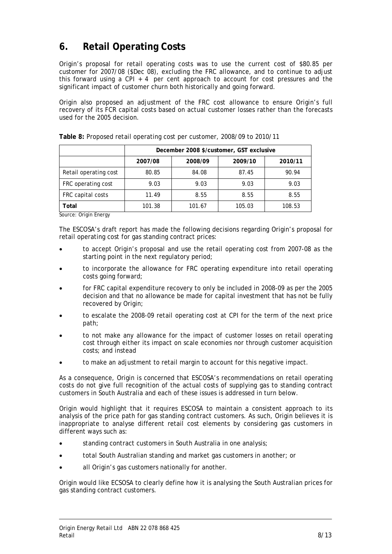# <span id="page-10-0"></span>**6. Retail Operating Costs**

Origin's proposal for retail operating costs was to use the current cost of \$80.85 per customer for 2007/08 (\$Dec 08), excluding the FRC allowance, and to continue to adjust this forward using a CPI + 4 per cent approach to account for cost pressures and the significant impact of customer churn both historically and going forward.

Origin also proposed an adjustment of the FRC cost allowance to ensure Origin's full recovery of its FCR capital costs based on actual customer losses rather than the forecasts used for the 2005 decision.

|                       | December 2008 \$/customer, GST exclusive |         |         |         |
|-----------------------|------------------------------------------|---------|---------|---------|
|                       | 2007/08                                  | 2008/09 | 2009/10 | 2010/11 |
| Retail operating cost | 80.85                                    | 84.08   | 87.45   | 90.94   |
| FRC operating cost    | 9.03                                     | 9.03    | 9.03    | 9.03    |
| FRC capital costs     | 11.49                                    | 8.55    | 8.55    | 8.55    |
| Total                 | 101.38                                   | 101.67  | 105.03  | 108.53  |

**Table 8:** Proposed retail operating cost per customer, 2008/09 to 2010/11

Source: Origin Energy

The ESCOSA's draft report has made the following decisions regarding Origin's proposal for retail operating cost for gas standing contract prices:

- to accept Origin's proposal and use the retail operating cost from 2007-08 as the starting point in the next regulatory period;
- to incorporate the allowance for FRC operating expenditure into retail operating costs going forward;
- for FRC capital expenditure recovery to only be included in 2008-09 as per the 2005 decision and that no allowance be made for capital investment that has not be fully recovered by Origin;
- to escalate the 2008-09 retail operating cost at CPI for the term of the next price path;
- to not make any allowance for the impact of customer losses on retail operating cost through either its impact on scale economies nor through customer acquisition costs; and instead
- to make an adjustment to retail margin to account for this negative impact.

As a consequence, Origin is concerned that ESCOSA's recommendations on retail operating costs do not give full recognition of the actual costs of supplying gas to standing contract customers in South Australia and each of these issues is addressed in turn below.

Origin would highlight that it requires ESCOSA to maintain a consistent approach to its analysis of the price path for gas standing contract customers. As such, Origin believes it is inappropriate to analyse different retail cost elements by considering gas customers in different ways such as:

- standing contract customers in South Australia in one analysis;
- total South Australian standing and market gas customers in another; or
- all Origin's gas customers nationally for another.

Origin would like ECSOSA to clearly define how it is analysing the South Australian prices for gas standing contract customers.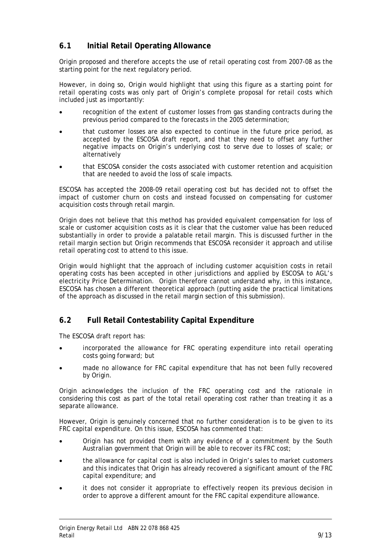#### <span id="page-11-0"></span>**6.1 Initial Retail Operating Allowance**

Origin proposed and therefore accepts the use of retail operating cost from 2007-08 as the starting point for the next regulatory period.

However, in doing so, Origin would highlight that using this figure as a starting point for retail operating costs was only part of Origin's complete proposal for retail costs which included just as importantly:

- recognition of the extent of customer losses from gas standing contracts during the previous period compared to the forecasts in the 2005 determination;
- that customer losses are also expected to continue in the future price period, as accepted by the ESCOSA draft report, and that they need to offset any further negative impacts on Origin's underlying cost to serve due to losses of scale; or alternatively
- that ESCOSA consider the costs associated with customer retention and acquisition that are needed to avoid the loss of scale impacts.

ESCOSA has accepted the 2008-09 retail operating cost but has decided not to offset the impact of customer churn on costs and instead focussed on compensating for customer acquisition costs through retail margin.

Origin does not believe that this method has provided equivalent compensation for loss of scale or customer acquisition costs as it is clear that the customer value has been reduced substantially in order to provide a palatable retail margin. This is discussed further in the retail margin section but Origin recommends that ESCOSA reconsider it approach and utilise retail operating cost to attend to this issue.

Origin would highlight that the approach of including customer acquisition costs in retail operating costs has been accepted in other jurisdictions and applied by ESCOSA to AGL's electricity Price Determination. Origin therefore cannot understand why, in this instance, ESCOSA has chosen a different theoretical approach (putting aside the practical limitations of the approach as discussed in the retail margin section of this submission).

#### **6.2 Full Retail Contestability Capital Expenditure**

The ESCOSA draft report has:

- incorporated the allowance for FRC operating expenditure into retail operating costs going forward; but
- made no allowance for FRC capital expenditure that has not been fully recovered by Origin.

Origin acknowledges the inclusion of the FRC operating cost and the rationale in considering this cost as part of the total retail operating cost rather than treating it as a separate allowance.

However, Origin is genuinely concerned that no further consideration is to be given to its FRC capital expenditure. On this issue, ESCOSA has commented that:

- Origin has not provided them with any evidence of a commitment by the South Australian government that Origin will be able to recover its FRC cost;
- the allowance for capital cost is also included in Origin's sales to market customers and this indicates that Origin has already recovered a significant amount of the FRC capital expenditure; and
- it does not consider it appropriate to effectively reopen its previous decision in order to approve a different amount for the FRC capital expenditure allowance.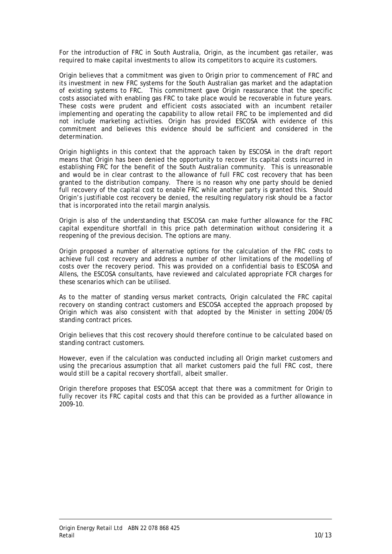For the introduction of FRC in South Australia, Origin, as the incumbent gas retailer, was required to make capital investments to allow its competitors to acquire its customers.

Origin believes that a commitment was given to Origin prior to commencement of FRC and its investment in new FRC systems for the South Australian gas market and the adaptation of existing systems to FRC. This commitment gave Origin reassurance that the specific costs associated with enabling gas FRC to take place would be recoverable in future years. These costs were prudent and efficient costs associated with an incumbent retailer implementing and operating the capability to allow retail FRC to be implemented and did not include marketing activities. Origin has provided ESCOSA with evidence of this commitment and believes this evidence should be sufficient and considered in the determination.

Origin highlights in this context that the approach taken by ESCOSA in the draft report means that Origin has been denied the opportunity to recover its capital costs incurred in establishing FRC for the benefit of the South Australian community. This is unreasonable and would be in clear contrast to the allowance of full FRC cost recovery that has been granted to the distribution company. There is no reason why one party should be denied full recovery of the capital cost to enable FRC while another party is granted this. Should Origin's justifiable cost recovery be denied, the resulting regulatory risk should be a factor that is incorporated into the retail margin analysis.

Origin is also of the understanding that ESCOSA can make further allowance for the FRC capital expenditure shortfall in this price path determination without considering it a reopening of the previous decision. The options are many.

Origin proposed a number of alternative options for the calculation of the FRC costs to achieve full cost recovery and address a number of other limitations of the modelling of costs over the recovery period. This was provided on a confidential basis to ESCOSA and Allens, the ESCOSA consultants, have reviewed and calculated appropriate FCR charges for these scenarios which can be utilised.

As to the matter of standing versus market contracts, Origin calculated the FRC capital recovery on standing contract customers and ESCOSA accepted the approach proposed by Origin which was also consistent with that adopted by the Minister in setting 2004/05 standing contract prices.

Origin believes that this cost recovery should therefore continue to be calculated based on standing contract customers.

However, even if the calculation was conducted including all Origin market customers and using the precarious assumption that all market customers paid the full FRC cost, there would still be a capital recovery shortfall, albeit smaller.

Origin therefore proposes that ESCOSA accept that there was a commitment for Origin to fully recover its FRC capital costs and that this can be provided as a further allowance in 2009-10.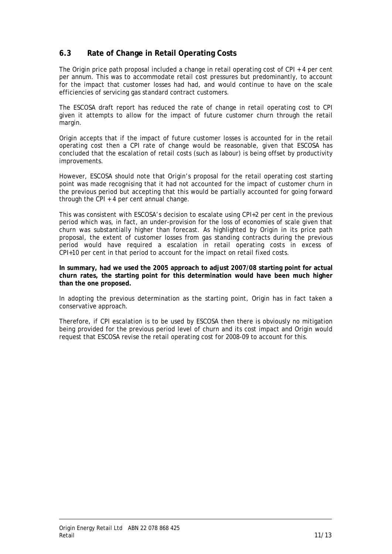#### <span id="page-13-0"></span>**6.3 Rate of Change in Retail Operating Costs**

The Origin price path proposal included a change in retail operating cost of CPI + 4 per cent per annum. This was to accommodate retail cost pressures but predominantly, to account for the impact that customer losses had had, and would continue to have on the scale efficiencies of servicing gas standard contract customers.

The ESCOSA draft report has reduced the rate of change in retail operating cost to CPI given it attempts to allow for the impact of future customer churn through the retail margin.

Origin accepts that if the impact of future customer losses is accounted for in the retail operating cost then a CPI rate of change would be reasonable, given that ESCOSA has concluded that the escalation of retail costs (such as labour) is being offset by productivity improvements.

However, ESCOSA should note that Origin's proposal for the retail operating cost starting point was made recognising that it had not accounted for the impact of customer churn in the previous period but accepting that this would be partially accounted for going forward through the CPI + 4 per cent annual change.

This was consistent with ESCOSA's decision to escalate using CPI+2 per cent in the previous period which was, in fact, an under-provision for the loss of economies of scale given that churn was substantially higher than forecast. As highlighted by Origin in its price path proposal, the extent of customer losses from gas standing contracts during the previous period would have required a escalation in retail operating costs in excess of CPI+10 per cent in that period to account for the impact on retail fixed costs.

**In summary, had we used the 2005 approach to adjust 2007/08 starting point for actual churn rates, the starting point for this determination would have been much higher than the one proposed.** 

In adopting the previous determination as the starting point, Origin has in fact taken a conservative approach.

Therefore, if CPI escalation is to be used by ESCOSA then there is obviously no mitigation being provided for the previous period level of churn and its cost impact and Origin would request that ESCOSA revise the retail operating cost for 2008-09 to account for this.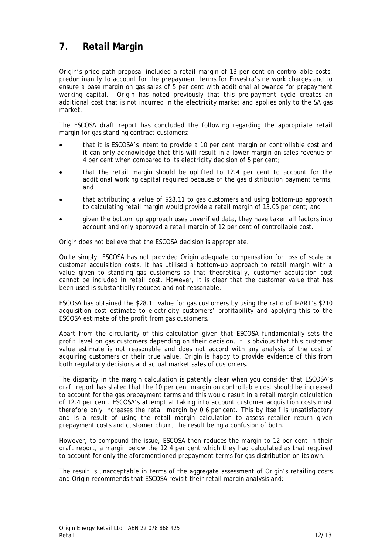# <span id="page-14-0"></span>**7. Retail Margin**

Origin's price path proposal included a retail margin of 13 per cent on controllable costs, predominantly to account for the prepayment terms for Envestra's network charges and to ensure a base margin on gas sales of 5 per cent with additional allowance for prepayment working capital. Origin has noted previously that this pre-payment cycle creates an additional cost that is not incurred in the electricity market and applies only to the SA gas market.

The ESCOSA draft report has concluded the following regarding the appropriate retail margin for gas standing contract customers:

- that it is ESCOSA's intent to provide a 10 per cent margin on controllable cost and it can only acknowledge that this will result in a lower margin on sales revenue of 4 per cent when compared to its electricity decision of 5 per cent;
- that the retail margin should be uplifted to 12.4 per cent to account for the additional working capital required because of the gas distribution payment terms; and
- that attributing a value of \$28.11 to gas customers and using bottom-up approach to calculating retail margin would provide a retail margin of 13.05 per cent; and
- given the bottom up approach uses unverified data, they have taken all factors into account and only approved a retail margin of 12 per cent of controllable cost.

Origin does not believe that the ESCOSA decision is appropriate.

Quite simply, ESCOSA has not provided Origin adequate compensation for loss of scale or customer acquisition costs. It has utilised a bottom-up approach to retail margin with a value given to standing gas customers so that theoretically, customer acquisition cost cannot be included in retail cost. However, it is clear that the customer value that has been used is substantially reduced and not reasonable.

ESCOSA has obtained the \$28.11 value for gas customers by using the ratio of IPART's \$210 acquisition cost estimate to electricity customers' profitability and applying this to the ESCOSA estimate of the profit from gas customers.

Apart from the circularity of this calculation given that ESCOSA fundamentally sets the profit level on gas customers depending on their decision, it is obvious that this customer value estimate is not reasonable and does not accord with any analysis of the cost of acquiring customers or their true value. Origin is happy to provide evidence of this from both regulatory decisions and actual market sales of customers.

The disparity in the margin calculation is patently clear when you consider that ESCOSA's draft report has stated that the 10 per cent margin on controllable cost should be increased to account for the gas prepayment terms and this would result in a retail margin calculation of 12.4 per cent. ESCOSA's attempt at taking into account customer acquisition costs must therefore only increases the retail margin by 0.6 per cent. This by itself is unsatisfactory and is a result of using the retail margin calculation to assess retailer return given prepayment costs and customer churn, the result being a confusion of both.

However, to compound the issue, ESCOSA then reduces the margin to 12 per cent in their draft report, a margin below the 12.4 per cent which they had calculated as that required to account for only the aforementioned prepayment terms for gas distribution on its own.

The result is unacceptable in terms of the aggregate assessment of Origin's retailing costs and Origin recommends that ESCOSA revisit their retail margin analysis and: